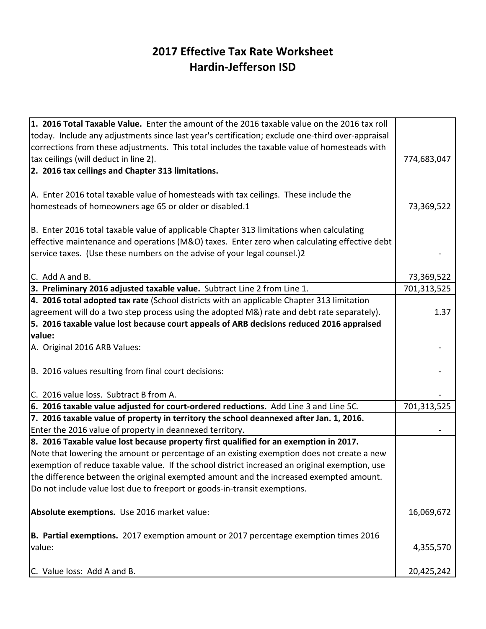## **2017 Effective Tax Rate Worksheet Hardin-Jefferson ISD**

| 1. 2016 Total Taxable Value. Enter the amount of the 2016 taxable value on the 2016 tax roll     |             |
|--------------------------------------------------------------------------------------------------|-------------|
| today. Include any adjustments since last year's certification; exclude one-third over-appraisal |             |
| corrections from these adjustments. This total includes the taxable value of homesteads with     |             |
| tax ceilings (will deduct in line 2).                                                            | 774,683,047 |
| 2. 2016 tax ceilings and Chapter 313 limitations.                                                |             |
|                                                                                                  |             |
| A. Enter 2016 total taxable value of homesteads with tax ceilings. These include the             |             |
| homesteads of homeowners age 65 or older or disabled.1                                           | 73,369,522  |
|                                                                                                  |             |
| B. Enter 2016 total taxable value of applicable Chapter 313 limitations when calculating         |             |
| effective maintenance and operations (M&O) taxes. Enter zero when calculating effective debt     |             |
| service taxes. (Use these numbers on the advise of your legal counsel.)2                         |             |
|                                                                                                  |             |
| C. Add A and B.                                                                                  | 73,369,522  |
| 3. Preliminary 2016 adjusted taxable value. Subtract Line 2 from Line 1.                         | 701,313,525 |
| 4. 2016 total adopted tax rate (School districts with an applicable Chapter 313 limitation       |             |
| agreement will do a two step process using the adopted M&) rate and debt rate separately).       | 1.37        |
| 5. 2016 taxable value lost because court appeals of ARB decisions reduced 2016 appraised         |             |
| value:                                                                                           |             |
| A. Original 2016 ARB Values:                                                                     |             |
|                                                                                                  |             |
| B. 2016 values resulting from final court decisions:                                             |             |
|                                                                                                  |             |
| C. 2016 value loss. Subtract B from A.                                                           |             |
| 6. 2016 taxable value adjusted for court-ordered reductions. Add Line 3 and Line 5C.             | 701,313,525 |
| 7. 2016 taxable value of property in territory the school deannexed after Jan. 1, 2016.          |             |
| Enter the 2016 value of property in deannexed territory.                                         |             |
| 8. 2016 Taxable value lost because property first qualified for an exemption in 2017.            |             |
| Note that lowering the amount or percentage of an existing exemption does not create a new       |             |
| exemption of reduce taxable value. If the school district increased an original exemption, use   |             |
| the difference between the original exempted amount and the increased exempted amount.           |             |
| Do not include value lost due to freeport or goods-in-transit exemptions.                        |             |
|                                                                                                  |             |
| Absolute exemptions. Use 2016 market value:                                                      | 16,069,672  |
|                                                                                                  |             |
| B. Partial exemptions. 2017 exemption amount or 2017 percentage exemption times 2016             |             |
| value:                                                                                           | 4,355,570   |
|                                                                                                  |             |
| C. Value loss: Add A and B.                                                                      | 20,425,242  |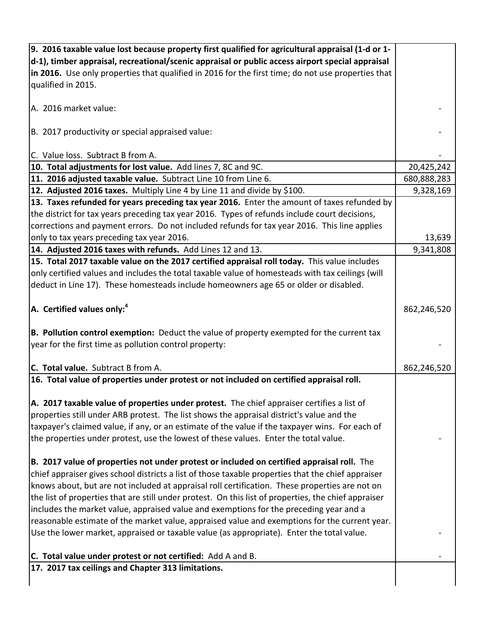| 9. 2016 taxable value lost because property first qualified for agricultural appraisal (1-d or 1-    |             |
|------------------------------------------------------------------------------------------------------|-------------|
| $ d-1 $ , timber appraisal, recreational/scenic appraisal or public access airport special appraisal |             |
| in 2016. Use only properties that qualified in 2016 for the first time; do not use properties that   |             |
| qualified in 2015.                                                                                   |             |
|                                                                                                      |             |
| A. 2016 market value:                                                                                |             |
|                                                                                                      |             |
| B. 2017 productivity or special appraised value:                                                     |             |
|                                                                                                      |             |
| C. Value loss. Subtract B from A.                                                                    |             |
| 10. Total adjustments for lost value. Add lines 7, 8C and 9C.                                        | 20,425,242  |
| 11. 2016 adjusted taxable value. Subtract Line 10 from Line 6.                                       | 680,888,283 |
| 12. Adjusted 2016 taxes. Multiply Line 4 by Line 11 and divide by \$100.                             | 9,328,169   |
| 13. Taxes refunded for years preceding tax year 2016. Enter the amount of taxes refunded by          |             |
| the district for tax years preceding tax year 2016. Types of refunds include court decisions,        |             |
| corrections and payment errors. Do not included refunds for tax year 2016. This line applies         |             |
| only to tax years preceding tax year 2016.                                                           | 13,639      |
| 14. Adjusted 2016 taxes with refunds. Add Lines 12 and 13.                                           | 9,341,808   |
| 15. Total 2017 taxable value on the 2017 certified appraisal roll today. This value includes         |             |
| only certified values and includes the total taxable value of homesteads with tax ceilings (will     |             |
| deduct in Line 17). These homesteads include homeowners age 65 or older or disabled.                 |             |
|                                                                                                      |             |
| $ A.$ Certified values only: <sup>4</sup>                                                            | 862,246,520 |
|                                                                                                      |             |
| B. Pollution control exemption: Deduct the value of property exempted for the current tax            |             |
| year for the first time as pollution control property:                                               |             |
|                                                                                                      |             |
| C. Total value. Subtract B from A.                                                                   | 862,246,520 |
| 16. Total value of properties under protest or not included on certified appraisal roll.             |             |
|                                                                                                      |             |
| A. 2017 taxable value of properties under protest. The chief appraiser certifies a list of           |             |
| properties still under ARB protest. The list shows the appraisal district's value and the            |             |
| taxpayer's claimed value, if any, or an estimate of the value if the taxpayer wins. For each of      |             |
| the properties under protest, use the lowest of these values. Enter the total value.                 |             |
|                                                                                                      |             |
| B. 2017 value of properties not under protest or included on certified appraisal roll. The           |             |
| chief appraiser gives school districts a list of those taxable properties that the chief appraiser   |             |
| knows about, but are not included at appraisal roll certification. These properties are not on       |             |
| the list of properties that are still under protest. On this list of properties, the chief appraiser |             |
| includes the market value, appraised value and exemptions for the preceding year and a               |             |
| reasonable estimate of the market value, appraised value and exemptions for the current year.        |             |
| Use the lower market, appraised or taxable value (as appropriate). Enter the total value.            |             |
| C. Total value under protest or not certified: Add A and B.                                          |             |
| 17. 2017 tax ceilings and Chapter 313 limitations.                                                   |             |
|                                                                                                      |             |
|                                                                                                      |             |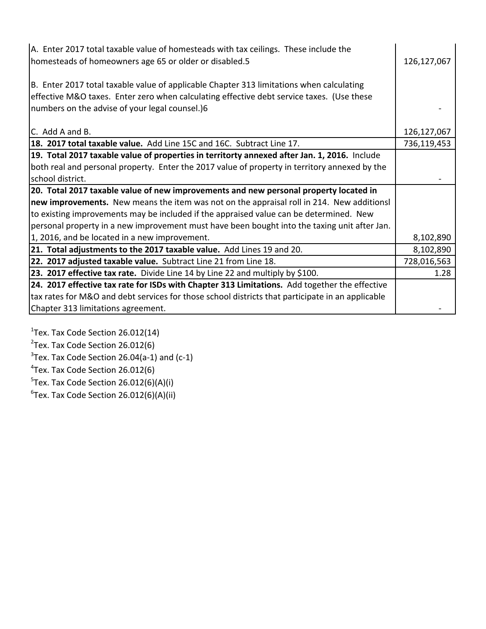| A. Enter 2017 total taxable value of homesteads with tax ceilings. These include the<br>homesteads of homeowners age 65 or older or disabled.5 | 126,127,067   |
|------------------------------------------------------------------------------------------------------------------------------------------------|---------------|
| B. Enter 2017 total taxable value of applicable Chapter 313 limitations when calculating                                                       |               |
| effective M&O taxes. Enter zero when calculating effective debt service taxes. (Use these                                                      |               |
| Inumbers on the advise of your legal counsel.)6                                                                                                |               |
|                                                                                                                                                |               |
| IC. Add A and B.                                                                                                                               | 126, 127, 067 |
| 18. 2017 total taxable value. Add Line 15C and 16C. Subtract Line 17.                                                                          | 736,119,453   |
| 19. Total 2017 taxable value of properties in territorty annexed after Jan. 1, 2016. Include                                                   |               |
| both real and personal property. Enter the 2017 value of property in territory annexed by the                                                  |               |
| school district.                                                                                                                               |               |
| 20. Total 2017 taxable value of new improvements and new personal property located in                                                          |               |
| new improvements. New means the item was not on the appraisal roll in 214. New additionsl                                                      |               |
| to existing improvements may be included if the appraised value can be determined. New                                                         |               |
| personal property in a new improvement must have been bought into the taxing unit after Jan.                                                   |               |
| 1, 2016, and be located in a new improvement.                                                                                                  | 8,102,890     |
| 21. Total adjustments to the 2017 taxable value. Add Lines 19 and 20.                                                                          | 8,102,890     |
| 22. 2017 adjusted taxable value. Subtract Line 21 from Line 18.                                                                                | 728,016,563   |
| 23. 2017 effective tax rate. Divide Line 14 by Line 22 and multiply by \$100.                                                                  | 1.28          |
| 24. 2017 effective tax rate for ISDs with Chapter 313 Limitations. Add together the effective                                                  |               |
| tax rates for M&O and debt services for those school districts that participate in an applicable                                               |               |
| Chapter 313 limitations agreement.                                                                                                             |               |

 $1$ Tex. Tax Code Section 26.012(14)

 $2$ Tex. Tax Code Section 26.012(6)

 $3$ Tex. Tax Code Section 26.04(a-1) and (c-1)

 $4$ Tex. Tax Code Section 26.012(6)

 $5$ Tex. Tax Code Section 26.012(6)(A)(i)

 ${}^{6}$ Tex. Tax Code Section 26.012(6)(A)(ii)